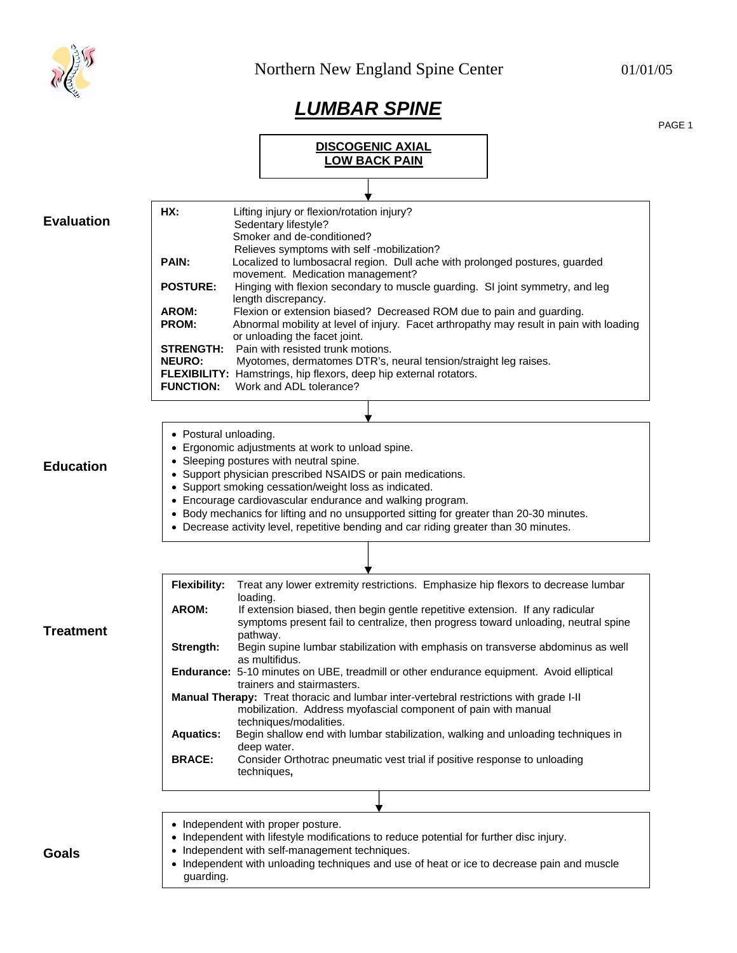

## *LUMBAR SPINE*

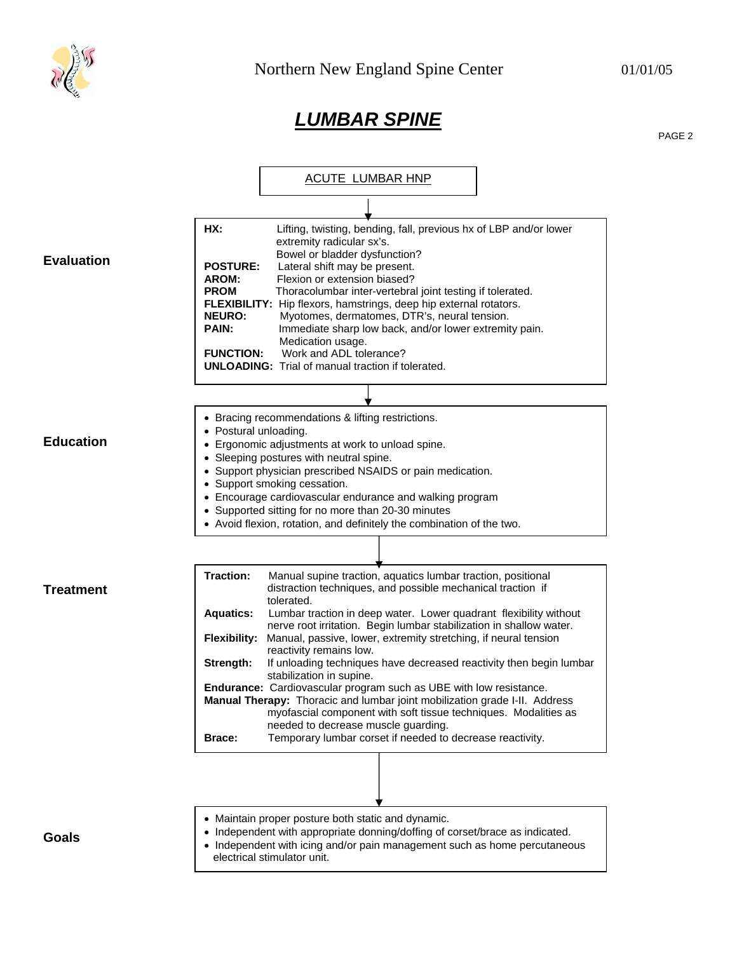

## *LUMBAR SPINE*

PAGE 2

|                   | ACUTE LUMBAR HNP                                                                                                                                                                                                                                                                                                                                                                                                                                                                                                                                                                                                                                                                                                       |
|-------------------|------------------------------------------------------------------------------------------------------------------------------------------------------------------------------------------------------------------------------------------------------------------------------------------------------------------------------------------------------------------------------------------------------------------------------------------------------------------------------------------------------------------------------------------------------------------------------------------------------------------------------------------------------------------------------------------------------------------------|
|                   |                                                                                                                                                                                                                                                                                                                                                                                                                                                                                                                                                                                                                                                                                                                        |
| <b>Evaluation</b> | HX:<br>Lifting, twisting, bending, fall, previous hx of LBP and/or lower<br>extremity radicular sx's.<br>Bowel or bladder dysfunction?<br><b>POSTURE:</b><br>Lateral shift may be present.<br>Flexion or extension biased?<br>AROM:<br><b>PROM</b><br>Thoracolumbar inter-vertebral joint testing if tolerated.<br>FLEXIBILITY: Hip flexors, hamstrings, deep hip external rotators.<br><b>NEURO:</b><br>Myotomes, dermatomes, DTR's, neural tension.<br><b>PAIN:</b><br>Immediate sharp low back, and/or lower extremity pain.<br>Medication usage.<br>Work and ADL tolerance?<br><b>FUNCTION:</b><br><b>UNLOADING:</b> Trial of manual traction if tolerated.                                                        |
|                   |                                                                                                                                                                                                                                                                                                                                                                                                                                                                                                                                                                                                                                                                                                                        |
| <b>Education</b>  | • Bracing recommendations & lifting restrictions.<br>• Postural unloading.<br>• Ergonomic adjustments at work to unload spine.<br>• Sleeping postures with neutral spine.<br>• Support physician prescribed NSAIDS or pain medication.<br>• Support smoking cessation.<br>• Encourage cardiovascular endurance and walking program<br>• Supported sitting for no more than 20-30 minutes<br>• Avoid flexion, rotation, and definitely the combination of the two.                                                                                                                                                                                                                                                      |
|                   |                                                                                                                                                                                                                                                                                                                                                                                                                                                                                                                                                                                                                                                                                                                        |
| Treatment         | <b>Traction:</b><br>Manual supine traction, aquatics lumbar traction, positional<br>distraction techniques, and possible mechanical traction if<br>tolerated.<br><b>Aquatics:</b><br>Lumbar traction in deep water. Lower quadrant flexibility without<br>nerve root irritation. Begin lumbar stabilization in shallow water.<br><b>Flexibility:</b><br>Manual, passive, lower, extremity stretching, if neural tension<br>reactivity remains low.<br>Strength:<br>If unloading techniques have decreased reactivity then begin lumbar<br>stabilization in supine.<br>Endurance: Cardiovascular program such as UBE with low resistance.<br>Manual Therapy: Thoracic and lumbar joint mobilization grade I-II. Address |
|                   | myofascial component with soft tissue techniques. Modalities as<br>needed to decrease muscle guarding.<br>Temporary lumbar corset if needed to decrease reactivity.<br><b>Brace:</b>                                                                                                                                                                                                                                                                                                                                                                                                                                                                                                                                   |
|                   |                                                                                                                                                                                                                                                                                                                                                                                                                                                                                                                                                                                                                                                                                                                        |
| Goals             | • Maintain proper posture both static and dynamic.<br>• Independent with appropriate donning/doffing of corset/brace as indicated.<br>• Independent with icing and/or pain management such as home percutaneous<br>electrical stimulator unit.                                                                                                                                                                                                                                                                                                                                                                                                                                                                         |